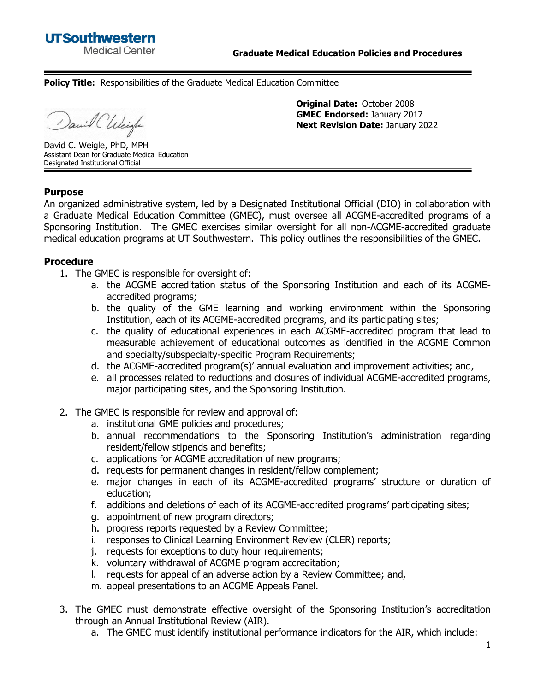**Policy Title:** Responsibilities of the Graduate Medical Education Committee

anil Chleigh

**Original Date:** October 2008 **GMEC Endorsed:** January 2017 **Next Revision Date:** January 2022

David C. Weigle, PhD, MPH Assistant Dean for Graduate Medical Education Designated Institutional Official

## **Purpose**

An organized administrative system, led by a Designated Institutional Official (DIO) in collaboration with a Graduate Medical Education Committee (GMEC), must oversee all ACGME-accredited programs of a Sponsoring Institution. The GMEC exercises similar oversight for all non-ACGME-accredited graduate medical education programs at UT Southwestern. This policy outlines the responsibilities of the GMEC.

## **Procedure**

- 1. The GMEC is responsible for oversight of:
	- a. the ACGME accreditation status of the Sponsoring Institution and each of its ACGMEaccredited programs;
	- b. the quality of the GME learning and working environment within the Sponsoring Institution, each of its ACGME-accredited programs, and its participating sites;
	- c. the quality of educational experiences in each ACGME-accredited program that lead to measurable achievement of educational outcomes as identified in the ACGME Common and specialty/subspecialty-specific Program Requirements;
	- d. the ACGME-accredited program(s)' annual evaluation and improvement activities; and,
	- e. all processes related to reductions and closures of individual ACGME-accredited programs, major participating sites, and the Sponsoring Institution.
- 2. The GMEC is responsible for review and approval of:
	- a. institutional GME policies and procedures;
	- b. annual recommendations to the Sponsoring Institution's administration regarding resident/fellow stipends and benefits;
	- c. applications for ACGME accreditation of new programs;
	- d. requests for permanent changes in resident/fellow complement;
	- e. major changes in each of its ACGME-accredited programs' structure or duration of education;
	- f. additions and deletions of each of its ACGME-accredited programs' participating sites;
	- g. appointment of new program directors;
	- h. progress reports requested by a Review Committee;
	- i. responses to Clinical Learning Environment Review (CLER) reports;
	- j. requests for exceptions to duty hour requirements;
	- k. voluntary withdrawal of ACGME program accreditation;
	- l. requests for appeal of an adverse action by a Review Committee; and,
	- m. appeal presentations to an ACGME Appeals Panel.
- 3. The GMEC must demonstrate effective oversight of the Sponsoring Institution's accreditation through an Annual Institutional Review (AIR).
	- a. The GMEC must identify institutional performance indicators for the AIR, which include: